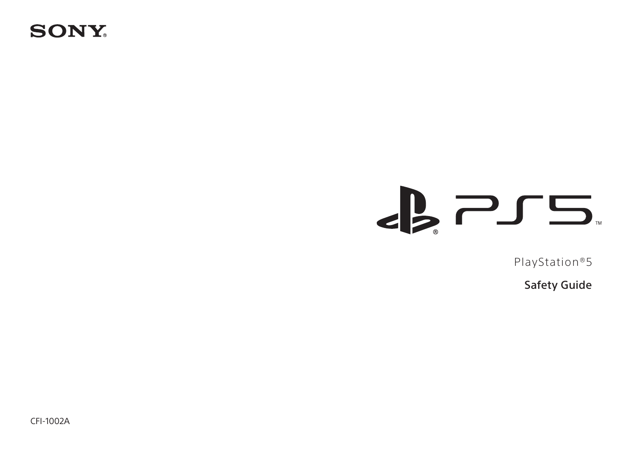# **SONY**

# $\epsilon$  2  $\epsilon$

PlayStation®5

Safety Guide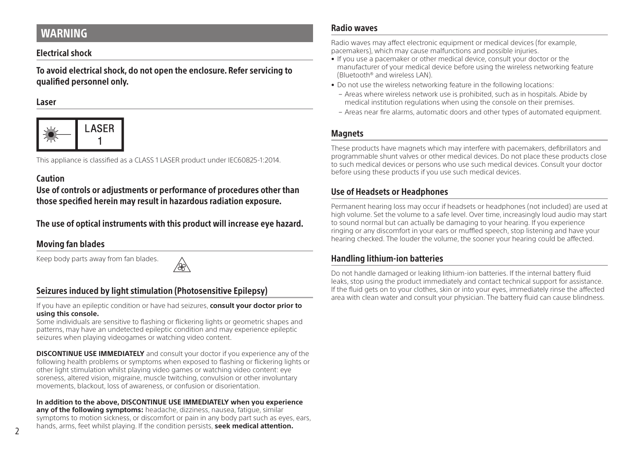# <span id="page-1-0"></span>WARNING

### Electrical shock

To avoid electrical shock, do not open the enclosure. Refer servicing to qualified personnel only.

#### Laser



This appliance is classified as a CLASS 1 LASER product under IEC60825-1:2014.

### Caution

Use of controls or adjustments or performance of procedures other than those specified herein may result in hazardous radiation exposure.

# The use of optical instruments with this product will increase eye hazard.

# Moving fan blades

Keep body parts away from fan blades.



# Seizures induced by light stimulation (Photosensitive Epilepsy)

If you have an epileptic condition or have had seizures, **consult your doctor prior to using this console.** 

Some individuals are sensitive to flashing or flickering lights or geometric shapes and patterns, may have an undetected epileptic condition and may experience epileptic seizures when playing videogames or watching video content.

**DISCONTINUE USE IMMEDIATELY** and consult your doctor if you experience any of the following health problems or symptoms when exposed to flashing or flickering lights or other light stimulation whilst playing video games or watching video content: eye soreness, altered vision, migraine, muscle twitching, convulsion or other involuntary movements, blackout, loss of awareness, or confusion or disorientation.

#### **In addition to the above, DISCONTINUE USE IMMEDIATELY when you experience any of the following symptoms:** headache, dizziness, nausea, fatigue, similar symptoms to motion sickness, or discomfort or pain in any body part such as eyes, ears,

hands, arms, feet whilst playing. If the condition persists, **seek medical attention.**

#### Radio waves

Radio waves may affect electronic equipment or medical devices (for example, pacemakers), which may cause malfunctions and possible injuries.

- If you use a pacemaker or other medical device, consult your doctor or the manufacturer of your medical device before using the wireless networking feature (Bluetooth® and wireless LAN).
- Do not use the wireless networking feature in the following locations:
	- Areas where wireless network use is prohibited, such as in hospitals. Abide by medical institution regulations when using the console on their premises.
	- Areas near fire alarms, automatic doors and other types of automated equipment.

### **Magnets**

These products have magnets which may interfere with pacemakers, defibrillators and programmable shunt valves or other medical devices. Do not place these products close to such medical devices or persons who use such medical devices. Consult your doctor before using these products if you use such medical devices.

## Use of Headsets or Headphones

Permanent hearing loss may occur if headsets or headphones (not included) are used at high volume. Set the volume to a safe level. Over time, increasingly loud audio may start to sound normal but can actually be damaging to your hearing. If you experience ringing or any discomfort in your ears or muffled speech, stop listening and have your hearing checked. The louder the volume, the sooner your hearing could be affected.

### Handling lithium-ion batteries

Do not handle damaged or leaking lithium-ion batteries. If the internal battery fluid leaks, stop using the product immediately and contact technical support for assistance. If the fluid gets on to your clothes, skin or into your eyes, immediately rinse the affected area with clean water and consult your physician. The battery fluid can cause blindness.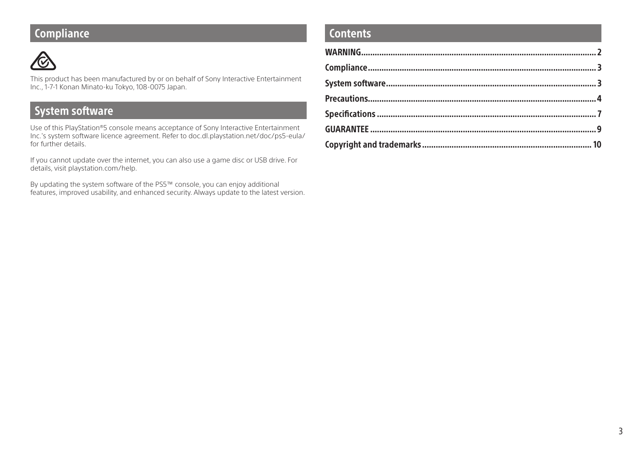# **Compliance**



This product has been manufactured by or on behalf of Sony Interactive Entertainment Inc., 1-7-1 Konan Minato-ku Tokyo, 108-0075 Japan.

# System software

Use of this PlayStation®5 console means acceptance of Sony Interactive Entertainment Inc.'s system software licence agreement. Refer to doc.dl.playstation.net/doc/ps5-eula/ for further details.

If you cannot update over the internet, you can also use a game disc or USB drive. For details, visit playstation.com/help.

By updating the system software of the PS5™ console, you can enjoy additional features, improved usability, and enhanced security. Always update to the latest version.

# **Contents**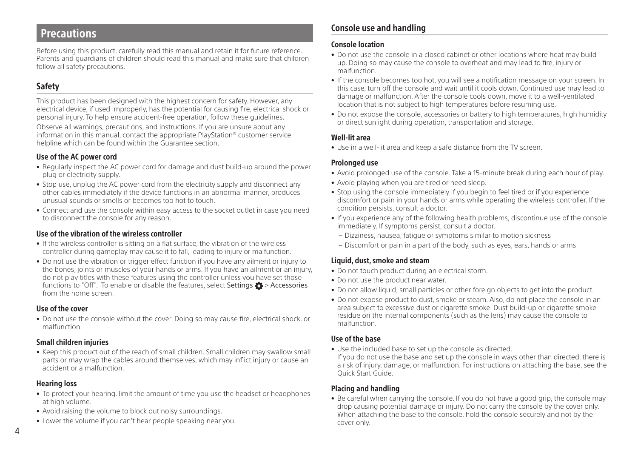# <span id="page-3-0"></span>Precautions

Before using this product, carefully read this manual and retain it for future reference. Parents and guardians of children should read this manual and make sure that children follow all safety precautions.

## Safety

This product has been designed with the highest concern for safety. However, any electrical device, if used improperly, has the potential for causing fire, electrical shock or personal injury. To help ensure accident-free operation, follow these guidelines.

Observe all warnings, precautions, and instructions. If you are unsure about any information in this manual, contact the appropriate PlayStation® customer service helpline which can be found within the Guarantee section.

#### Use of the AC power cord

- Regularly inspect the AC power cord for damage and dust build-up around the power plug or electricity supply.
- Stop use, unplug the AC power cord from the electricity supply and disconnect any other cables immediately if the device functions in an abnormal manner, produces unusual sounds or smells or becomes too hot to touch.
- Connect and use the console within easy access to the socket outlet in case you need to disconnect the console for any reason.

#### Use of the vibration of the wireless controller

- If the wireless controller is sitting on a flat surface, the vibration of the wireless controller during gameplay may cause it to fall, leading to injury or malfunction.
- Do not use the vibration or trigger effect function if you have any ailment or injury to the bones, joints or muscles of your hands or arms. If you have an ailment or an injury, do not play titles with these features using the controller unless you have set those functions to "Off". To enable or disable the features, select Settings  $\bullet$  > Accessories from the home screen.

#### Use of the cover

• Do not use the console without the cover. Doing so may cause fire, electrical shock, or malfunction.

#### Small children injuries

• Keep this product out of the reach of small children. Small children may swallow small parts or may wrap the cables around themselves, which may inflict injury or cause an accident or a malfunction.

#### Hearing loss

- To protect your hearing. limit the amount of time you use the headset or headphones at high volume.
- Avoid raising the volume to block out noisy surroundings.
- Lower the volume if you can't hear people speaking near you.

# Console use and handling

#### Console location

- Do not use the console in a closed cabinet or other locations where heat may build up. Doing so may cause the console to overheat and may lead to fire, injury or malfunction.
- If the console becomes too hot, you will see a notification message on your screen. In this case, turn off the console and wait until it cools down. Continued use may lead to damage or malfunction. After the console cools down, move it to a well-ventilated location that is not subject to high temperatures before resuming use.
- Do not expose the console, accessories or battery to high temperatures, high humidity or direct sunlight during operation, transportation and storage.

#### Well-lit area

• Use in a well-lit area and keep a safe distance from the TV screen.

#### Prolonged use

- Avoid prolonged use of the console. Take a 15-minute break during each hour of play.
- Avoid playing when you are tired or need sleep.
- Stop using the console immediately if you begin to feel tired or if you experience discomfort or pain in your hands or arms while operating the wireless controller. If the condition persists, consult a doctor.
- If you experience any of the following health problems, discontinue use of the console immediately. If symptoms persist, consult a doctor.
	- Dizziness, nausea, fatigue or symptoms similar to motion sickness
	- Discomfort or pain in a part of the body, such as eyes, ears, hands or arms

#### Liquid, dust, smoke and steam

- Do not touch product during an electrical storm.
- Do not use the product near water.
- Do not allow liquid, small particles or other foreign objects to get into the product.
- Do not expose product to dust, smoke or steam. Also, do not place the console in an area subject to excessive dust or cigarette smoke. Dust build-up or cigarette smoke residue on the internal components (such as the lens) may cause the console to malfunction.

#### Use of the base

• Use the included base to set up the console as directed.

If you do not use the base and set up the console in ways other than directed, there is a risk of injury, damage, or malfunction. For instructions on attaching the base, see the Quick Start Guide.

#### Placing and handling

• Be careful when carrying the console. If you do not have a good grip, the console may drop causing potential damage or injury. Do not carry the console by the cover only. When attaching the base to the console, hold the console securely and not by the cover only.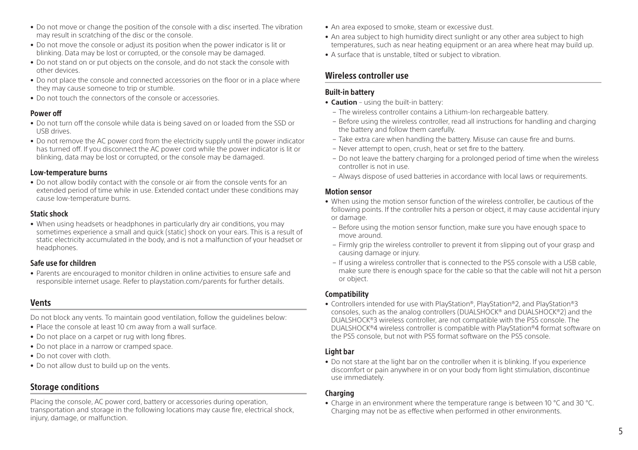- Do not move or change the position of the console with a disc inserted. The vibration may result in scratching of the disc or the console.
- Do not move the console or adjust its position when the power indicator is lit or blinking. Data may be lost or corrupted, or the console may be damaged.
- Do not stand on or put objects on the console, and do not stack the console with other devices.
- Do not place the console and connected accessories on the floor or in a place where they may cause someone to trip or stumble.
- Do not touch the connectors of the console or accessories.

#### Power off

- Do not turn off the console while data is being saved on or loaded from the SSD or USB drives.
- Do not remove the AC power cord from the electricity supply until the power indicator has turned off. If you disconnect the AC power cord while the power indicator is lit or blinking, data may be lost or corrupted, or the console may be damaged.

#### Low-temperature burns

• Do not allow bodily contact with the console or air from the console vents for an extended period of time while in use. Extended contact under these conditions may cause low-temperature burns.

#### Static shock

• When using headsets or headphones in particularly dry air conditions, you may sometimes experience a small and quick (static) shock on your ears. This is a result of static electricity accumulated in the body, and is not a malfunction of your headset or headphones.

#### Safe use for children

• Parents are encouraged to monitor children in online activities to ensure safe and responsible internet usage. Refer to playstation.com/parents for further details.

## Vents

- Do not block any vents. To maintain good ventilation, follow the guidelines below:
- Place the console at least 10 cm away from a wall surface.
- Do not place on a carpet or rug with long fibres.
- Do not place in a narrow or cramped space.
- Do not cover with cloth.
- Do not allow dust to build up on the vents.

## Storage conditions

Placing the console, AC power cord, battery or accessories during operation, transportation and storage in the following locations may cause fire, electrical shock, injury, damage, or malfunction.

- An area exposed to smoke, steam or excessive dust.
- An area subject to high humidity direct sunlight or any other area subject to high temperatures, such as near heating equipment or an area where heat may build up.
- A surface that is unstable, tilted or subject to vibration.

# Wireless controller use

#### Built-in battery

- **Caution** using the built-in battery:
	- The wireless controller contains a Lithium-Ion rechargeable battery.
	- Before using the wireless controller, read all instructions for handling and charging the battery and follow them carefully.
	- Take extra care when handling the battery. Misuse can cause fire and burns.
	- Never attempt to open, crush, heat or set fire to the battery.
	- Do not leave the battery charging for a prolonged period of time when the wireless controller is not in use.
	- Always dispose of used batteries in accordance with local laws or requirements.

#### Motion sensor

- When using the motion sensor function of the wireless controller, be cautious of the following points. If the controller hits a person or object, it may cause accidental injury or damage.
	- Before using the motion sensor function, make sure you have enough space to move around.
	- Firmly grip the wireless controller to prevent it from slipping out of your grasp and causing damage or injury.
	- If using a wireless controller that is connected to the PS5 console with a USB cable, make sure there is enough space for the cable so that the cable will not hit a person or object.

#### Compatibility

• Controllers intended for use with PlayStation®, PlayStation®2, and PlayStation®3 consoles, such as the analog controllers (DUALSHOCK® and DUALSHOCK®2) and the DUALSHOCK®3 wireless controller, are not compatible with the PS5 console. The DUALSHOCK®4 wireless controller is compatible with PlayStation®4 format software on the PS5 console, but not with PS5 format software on the PS5 console.

#### Light bar

• Do not stare at the light bar on the controller when it is blinking. If you experience discomfort or pain anywhere in or on your body from light stimulation, discontinue use immediately.

### Charging

• Charge in an environment where the temperature range is between 10 °C and 30 °C. Charging may not be as effective when performed in other environments.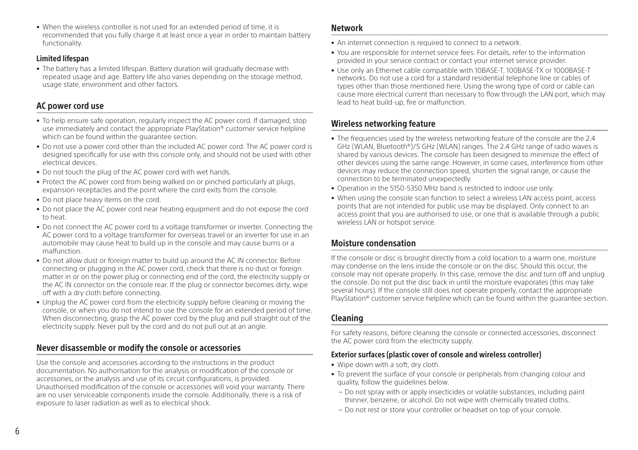• When the wireless controller is not used for an extended period of time, it is recommended that you fully charge it at least once a year in order to maintain battery functionality.

#### Limited lifespan

• The battery has a limited lifespan. Battery duration will gradually decrease with repeated usage and age. Battery life also varies depending on the storage method, usage state, environment and other factors.

# AC power cord use

- To help ensure safe operation, regularly inspect the AC power cord. If damaged, stop use immediately and contact the appropriate PlayStation® customer service helpline which can be found within the guarantee section.
- Do not use a power cord other than the included AC power cord. The AC power cord is designed specifically for use with this console only, and should not be used with other electrical devices.
- Do not touch the plug of the AC power cord with wet hands.
- Protect the AC power cord from being walked on or pinched particularly at plugs, expansion receptacles and the point where the cord exits from the console.
- Do not place heavy items on the cord.
- Do not place the AC power cord near heating equipment and do not expose the cord to heat.
- Do not connect the AC power cord to a voltage transformer or inverter. Connecting the AC power cord to a voltage transformer for overseas travel or an inverter for use in an automobile may cause heat to build up in the console and may cause burns or a malfunction.
- Do not allow dust or foreign matter to build up around the AC IN connector. Before connecting or plugging in the AC power cord, check that there is no dust or foreign matter in or on the power plug or connecting end of the cord, the electricity supply or the AC IN connector on the console rear. If the plug or connector becomes dirty, wipe off with a dry cloth before connecting.
- Unplug the AC power cord from the electricity supply before cleaning or moving the console, or when you do not intend to use the console for an extended period of time. When disconnecting, grasp the AC power cord by the plug and pull straight out of the electricity supply. Never pull by the cord and do not pull out at an angle.

# Never disassemble or modify the console or accessories

Use the console and accessories according to the instructions in the product documentation. No authorisation for the analysis or modification of the console or accessories, or the analysis and use of its circuit configurations, is provided. Unauthorised modification of the console or accessories will void your warranty. There are no user serviceable components inside the console. Additionally, there is a risk of exposure to laser radiation as well as to electrical shock.

#### Network

- An internet connection is required to connect to a network.
- You are responsible for internet service fees. For details, refer to the information provided in your service contract or contact your internet service provider.
- Use only an Ethernet cable compatible with 10BASE-T, 100BASE-TX or 1000BASE-T networks. Do not use a cord for a standard residential telephone line or cables of types other than those mentioned here. Using the wrong type of cord or cable can cause more electrical current than necessary to flow through the LAN port, which may lead to heat build-up, fire or malfunction.

# Wireless networking feature

- The frequencies used by the wireless networking feature of the console are the 2.4 GHz (WLAN, Bluetooth®)/5 GHz (WLAN) ranges. The 2.4 GHz range of radio waves is shared by various devices. The console has been designed to minimize the effect of other devices using the same range. However, in some cases, interference from other devices may reduce the connection speed, shorten the signal range, or cause the connection to be terminated unexpectedly.
- Operation in the 5150-5350 MHz band is restricted to indoor use only.
- When using the console scan function to select a wireless LAN access point, access points that are not intended for public use may be displayed. Only connect to an access point that you are authorised to use, or one that is available through a public wireless LAN or hotspot service.

# Moisture condensation

If the console or disc is brought directly from a cold location to a warm one, moisture may condense on the lens inside the console or on the disc. Should this occur, the console may not operate properly. In this case, remove the disc and turn off and unplug the console. Do not put the disc back in until the moisture evaporates (this may take several hours). If the console still does not operate properly, contact the appropriate PlayStation® customer service helpline which can be found within the guarantee section.

# Cleaning

For safety reasons, before cleaning the console or connected accessories, disconnect the AC power cord from the electricity supply.

#### Exterior surfaces (plastic cover of console and wireless controller)

- Wipe down with a soft, dry cloth.
- To prevent the surface of your console or peripherals from changing colour and quality, follow the guidelines below.
	- Do not spray with or apply insecticides or volatile substances, including paint thinner, benzene, or alcohol. Do not wipe with chemically treated cloths.
	- Do not rest or store your controller or headset on top of your console.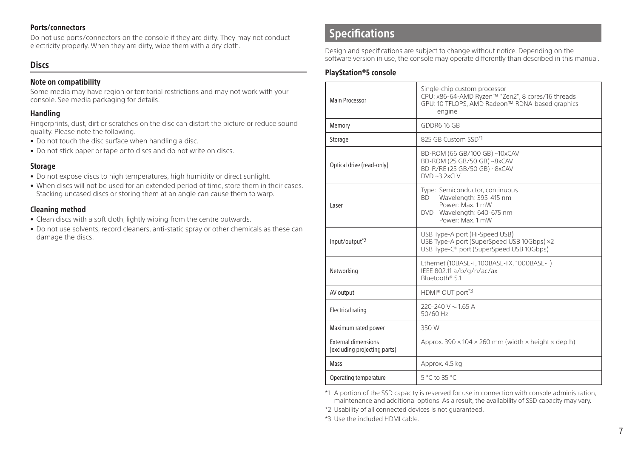#### <span id="page-6-0"></span>Ports/connectors

Do not use ports/connectors on the console if they are dirty. They may not conduct electricity properly. When they are dirty, wipe them with a dry cloth.

#### **Discs**

#### Note on compatibility

Some media may have region or territorial restrictions and may not work with your console. See media packaging for details.

#### Handling

Fingerprints, dust, dirt or scratches on the disc can distort the picture or reduce sound quality. Please note the following.

- Do not touch the disc surface when handling a disc.
- Do not stick paper or tape onto discs and do not write on discs.

#### **Storage**

- Do not expose discs to high temperatures, high humidity or direct sunlight.
- When discs will not be used for an extended period of time, store them in their cases. Stacking uncased discs or storing them at an angle can cause them to warp.

#### Cleaning method

- Clean discs with a soft cloth, lightly wiping from the centre outwards.
- Do not use solvents, record cleaners, anti-static spray or other chemicals as these can damage the discs.

# **Specifications**

Design and specifications are subject to change without notice. Depending on the software version in use, the console may operate differently than described in this manual.

#### PlayStation®5 console

| Main Processor                                             | Single-chip custom processor<br>CPU: x86-64-AMD Ryzen™ "Zen2", 8 cores/16 threads<br>GPU: 10 TFLOPS, AMD Radeon™ RDNA-based graphics<br>engine |  |
|------------------------------------------------------------|------------------------------------------------------------------------------------------------------------------------------------------------|--|
| Memory                                                     | GDDR6 16 GB                                                                                                                                    |  |
| Storage                                                    | 825 GB Custom SSD <sup>*1</sup>                                                                                                                |  |
| Optical drive (read-only)                                  | BD-ROM (66 GB/100 GB) ~10xCAV<br>BD-ROM (25 GB/50 GB) ~8xCAV<br>BD-R/RE (25 GB/50 GB) ~8xCAV<br>$DVD \sim 3.2xCIV$                             |  |
| Laser                                                      | Type: Semiconductor, continuous<br>BD.<br>Wavelength: 395-415 nm<br>Power: Max. 1 mW<br>DVD Wavelength: 640-675 nm<br>Power: Max. 1 mW         |  |
| Input/output <sup>*2</sup>                                 | USB Type-A port (Hi-Speed USB)<br>USB Type-A port (SuperSpeed USB 10Gbps) ×2<br>USB Type-C® port (SuperSpeed USB 10Gbps)                       |  |
| Networking                                                 | Ethernet (10BASE-T, 100BASE-TX, 1000BASE-T)<br>IEEE 802.11 a/b/g/n/ac/ax<br>Bluetooth® 5.1                                                     |  |
| AV output                                                  | HDMI® OUT port*3                                                                                                                               |  |
| <b>Electrical rating</b>                                   | 220-240 V $\sim$ 1.65 A<br>50/60 Hz                                                                                                            |  |
| Maximum rated power                                        | 350 W                                                                                                                                          |  |
| <b>External dimensions</b><br>(excluding projecting parts) | Approx. 390 $\times$ 104 $\times$ 260 mm (width $\times$ height $\times$ depth)                                                                |  |
| Mass                                                       | Approx. 4.5 kg                                                                                                                                 |  |
| Operating temperature                                      | 5 °C to 35 °C                                                                                                                                  |  |

\*1 A portion of the SSD capacity is reserved for use in connection with console administration, maintenance and additional options. As a result, the availability of SSD capacity may vary.

\*2 Usability of all connected devices is not guaranteed.

\*3 Use the included HDMI cable.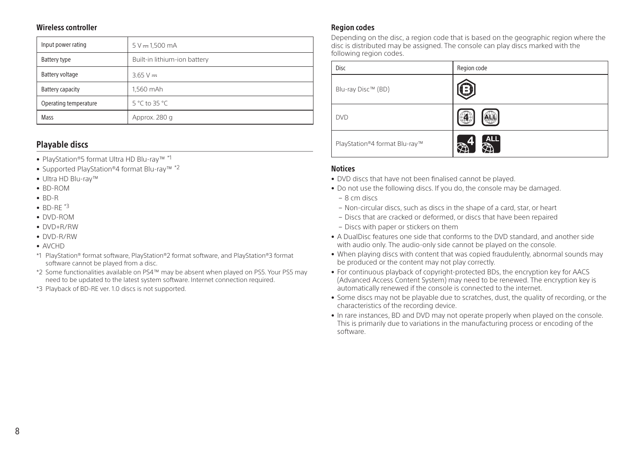#### Wireless controller

| Input power rating    | $5 V - 1,500 mA$             |  |
|-----------------------|------------------------------|--|
| Battery type          | Built-in lithium-ion battery |  |
| Battery voltage       | $3.65 V -$                   |  |
| Battery capacity      | 1.560 mAh                    |  |
| Operating temperature | 5 °C to 35 °C                |  |
| Mass                  | Approx. 280 q                |  |

## Playable discs

- PlayStation®5 format Ultra HD Blu-ray™ \*1
- Supported PlayStation®4 format Blu-ray™ \*2
- Ultra HD Blu-ray™
- BD-ROM
- BD-R
- $\bullet$  BD-RF $*3$
- DVD-ROM
- DVD+R/RW
- DVD-R/RW
- AVCHD
- \*1 PlayStation® format software, PlayStation®2 format software, and PlayStation®3 format software cannot be played from a disc.
- \*2 Some functionalities available on PS4™ may be absent when played on PS5. Your PS5 may need to be updated to the latest system software. Internet connection required.
- \*3 Playback of BD-RE ver. 1.0 discs is not supported.

#### Region codes

Depending on the disc, a region code that is based on the geographic region where the disc is distributed may be assigned. The console can play discs marked with the following region codes.

| Disc                          | Region code                               |
|-------------------------------|-------------------------------------------|
| Blu-ray Disc™ (BD)            |                                           |
| <b>DVD</b>                    |                                           |
| PlayStation®4 format Blu-ray™ | $\frac{1}{2}$<br>$\overline{R_{\rm eff}}$ |

#### **Notices**

- DVD discs that have not been finalised cannot be played.
- Do not use the following discs. If you do, the console may be damaged.
	- 8 cm discs
	- Non-circular discs, such as discs in the shape of a card, star, or heart
	- Discs that are cracked or deformed, or discs that have been repaired
	- Discs with paper or stickers on them
- A DualDisc features one side that conforms to the DVD standard, and another side with audio only. The audio-only side cannot be played on the console.
- When playing discs with content that was copied fraudulently, abnormal sounds may be produced or the content may not play correctly.
- For continuous playback of copyright-protected BDs, the encryption key for AACS (Advanced Access Content System) may need to be renewed. The encryption key is automatically renewed if the console is connected to the internet.
- Some discs may not be playable due to scratches, dust, the quality of recording, or the characteristics of the recording device.
- In rare instances, BD and DVD may not operate properly when played on the console. This is primarily due to variations in the manufacturing process or encoding of the software.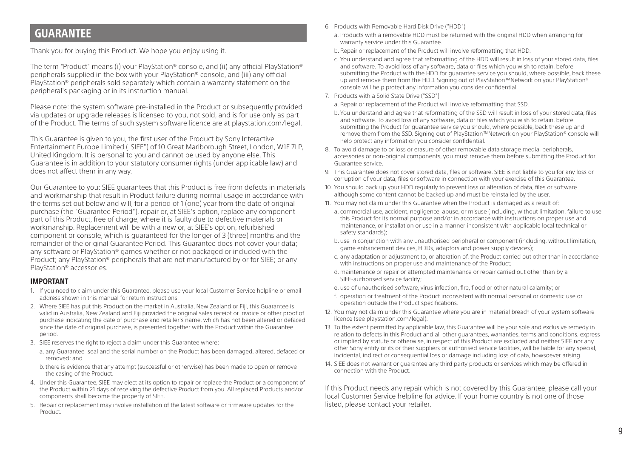# <span id="page-8-0"></span>GUARANTEE

Thank you for buying this Product. We hope you enjoy using it.

The term "Product" means (i) your PlayStation® console, and (ii) any official PlayStation® peripherals supplied in the box with your PlayStation® console, and (iii) any official PlayStation® peripherals sold separately which contain a warranty statement on the peripheral's packaging or in its instruction manual.

Please note: the system software pre-installed in the Product or subsequently provided via updates or upgrade releases is licensed to you, not sold, and is for use only as part of the Product. The terms of such system software licence are at playstation.com/legal.

This Guarantee is given to you, the first user of the Product by Sony Interactive Entertainment Europe Limited ("SIEE") of 10 Great Marlborough Street, London, W1F 7LP, United Kingdom. It is personal to you and cannot be used by anyone else. This Guarantee is in addition to your statutory consumer rights (under applicable law) and does not affect them in any way.

Our Guarantee to you: SIEE guarantees that this Product is free from defects in materials and workmanship that result in Product failure during normal usage in accordance with the terms set out below and will, for a period of 1 (one) year from the date of original purchase (the "Guarantee Period"), repair or, at SIEE's option, replace any component part of this Product, free of charge, where it is faulty due to defective materials or workmanship. Replacement will be with a new or, at SIEE's option, refurbished component or console, which is guaranteed for the longer of 3 (three) months and the remainder of the original Guarantee Period. This Guarantee does not cover your data; any software or PlayStation® games whether or not packaged or included with the Product; any PlayStation® peripherals that are not manufactured by or for SIEE; or any PlayStation® accessories.

#### IMPORTANT

- 1. If you need to claim under this Guarantee, please use your local Customer Service helpline or email address shown in this manual for return instructions.
- 2. Where SIEE has put this Product on the market in Australia, New Zealand or Fiji, this Guarantee is valid in Australia, New Zealand and Fiji provided the original sales receipt or invoice or other proof of purchase indicating the date of purchase and retailer's name, which has not been altered or defaced since the date of original purchase, is presented together with the Product within the Guarantee period.
- 3. SIEE reserves the right to reject a claim under this Guarantee where:
	- a. any Guarantee seal and the serial number on the Product has been damaged, altered, defaced or removed; and
	- b. there is evidence that any attempt (successful or otherwise) has been made to open or remove the casing of the Product.
- 4. Under this Guarantee, SIEE may elect at its option to repair or replace the Product or a component of the Product within 21 days of receiving the defective Product from you. All replaced Products and/or components shall become the property of SIEE.
- 5. Repair or replacement may involve installation of the latest software or firmware updates for the Product.
- 6. Products with Removable Hard Disk Drive ("HDD")
	- a. Products with a removable HDD must be returned with the original HDD when arranging for warranty service under this Guarantee.
	- b. Repair or replacement of the Product will involve reformatting that HDD.
	- c. You understand and agree that reformatting of the HDD will result in loss of your stored data, files and software. To avoid loss of any software, data or files which you wish to retain, before submitting the Product with the HDD for guarantee service you should, where possible, back these up and remove them from the HDD. Signing out of PlayStation™Network on your PlayStation® console will help protect any information you consider confidential.
- 7. Products with a Solid State Drive ("SSD")
	- a. Repair or replacement of the Product will involve reformatting that SSD.
	- b. You understand and agree that reformatting of the SSD will result in loss of your stored data, files and software. To avoid loss of any software, data or files which you wish to retain, before submitting the Product for guarantee service you should, where possible, back these up and remove them from the SSD. Signing out of PlayStation™Network on your PlayStation® console will help protect any information you consider confidential.
- 8. To avoid damage to or loss or erasure of other removable data storage media, peripherals, accessories or non-original components, you must remove them before submitting the Product for Guarantee service.
- 9. This Guarantee does not cover stored data, files or software. SIEE is not liable to you for any loss or corruption of your data, files or software in connection with your exercise of this Guarantee.
- 10. You should back up your HDD regularly to prevent loss or alteration of data, files or software although some content cannot be backed up and must be reinstalled by the user.
- 11. You may not claim under this Guarantee when the Product is damaged as a result of:
- a. commercial use, accident, negligence, abuse, or misuse (including, without limitation, failure to use this Product for its normal purpose and/or in accordance with instructions on proper use and maintenance, or installation or use in a manner inconsistent with applicable local technical or safety standards);
- b. use in conjunction with any unauthorised peripheral or component (including, without limitation, game enhancement devices, HDDs, adaptors and power supply devices);
- c. any adaptation or adjustment to, or alteration of, the Product carried out other than in accordance with instructions on proper use and maintenance of the Product;
- d. maintenance or repair or attempted maintenance or repair carried out other than by a SIEE-authorised service facility;
- e. use of unauthorised software, virus infection, fire, flood or other natural calamity; or
- f. operation or treatment of the Product inconsistent with normal personal or domestic use or operation outside the Product specifications.
- 12. You may not claim under this Guarantee where you are in material breach of your system software licence (see playstation.com/legal).
- 13. To the extent permitted by applicable law, this Guarantee will be your sole and exclusive remedy in relation to defects in this Product and all other guarantees, warranties, terms and conditions, express or implied by statute or otherwise, in respect of this Product are excluded and neither SIEE nor any other Sony entity or its or their suppliers or authorised service facilities, will be liable for any special, incidental, indirect or consequential loss or damage including loss of data, howsoever arising.
- 14. SIEE does not warrant or guarantee any third party products or services which may be offered in connection with the Product.

If this Product needs any repair which is not covered by this Guarantee, please call your local Customer Service helpline for advice. If your home country is not one of those listed, please contact your retailer.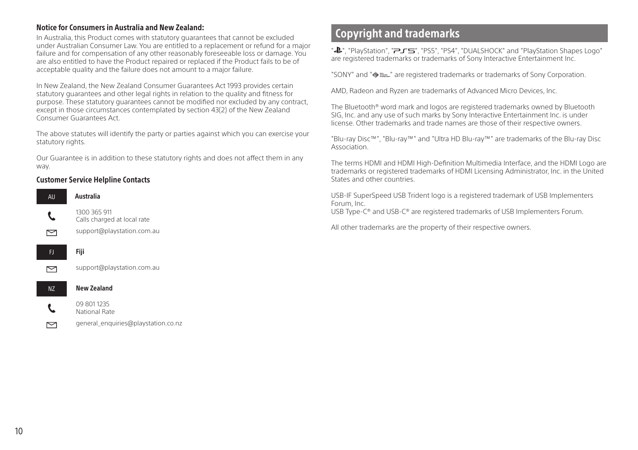#### <span id="page-9-0"></span>Notice for Consumers in Australia and New Zealand:

In Australia, this Product comes with statutory guarantees that cannot be excluded under Australian Consumer Law. You are entitled to a replacement or refund for a major failure and for compensation of any other reasonably foreseeable loss or damage. You are also entitled to have the Product repaired or replaced if the Product fails to be of acceptable quality and the failure does not amount to a major failure.

In New Zealand, the New Zealand Consumer Guarantees Act 1993 provides certain statutory guarantees and other legal rights in relation to the quality and fitness for purpose. These statutory guarantees cannot be modified nor excluded by any contract, except in those circumstances contemplated by section 43(2) of the New Zealand Consumer Guarantees Act.

The above statutes will identify the party or parties against which you can exercise your statutory rights.

Our Guarantee is in addition to these statutory rights and does not affect them in any way.

#### Customer Service Helpline Contacts



# Copyright and trademarks

". "PlayStation", "
and "PlayStation", "  $\overline{P}$   $\overline{F}$   $\overline{S}$ ", "PS5", "PS4", "DUALSHOCK" and "PlayStation Shapes Logo" are registered trademarks or trademarks of Sony Interactive Entertainment Inc.

"SONY" and " $\bullet$   $\bullet$   $\bullet$  are registered trademarks or trademarks of Sony Corporation.

AMD, Radeon and Ryzen are trademarks of Advanced Micro Devices, Inc.

The Bluetooth® word mark and logos are registered trademarks owned by Bluetooth SIG, Inc. and any use of such marks by Sony Interactive Entertainment Inc. is under license. Other trademarks and trade names are those of their respective owners.

"Blu-ray Disc™", "Blu-ray™" and "Ultra HD Blu-ray™" are trademarks of the Blu-ray Disc Association.

The terms HDMI and HDMI High-Definition Multimedia Interface, and the HDMI Logo are trademarks or registered trademarks of HDMI Licensing Administrator, Inc. in the United States and other countries.

USB-IF SuperSpeed USB Trident logo is a registered trademark of USB Implementers Forum, Inc.

USB Type-C® and USB-C® are registered trademarks of USB Implementers Forum.

All other trademarks are the property of their respective owners.